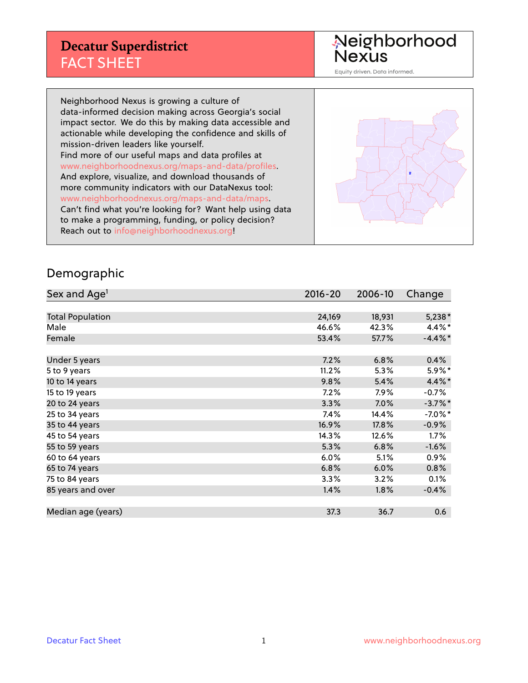Neighborhood<br>Nexus

Equity driven. Data informed.

Neighborhood Nexus is growing a culture of data-informed decision making across Georgia's social impact sector. We do this by making data accessible and actionable while developing the confidence and skills of mission-driven leaders like yourself. Find more of our useful maps and data profiles at www.neighborhoodnexus.org/maps-and-data/profiles. And explore, visualize, and download thousands of more community indicators with our DataNexus tool: www.neighborhoodnexus.org/maps-and-data/maps. Can't find what you're looking for? Want help using data to make a programming, funding, or policy decision? Reach out to [info@neighborhoodnexus.org!](mailto:info@neighborhoodnexus.org)



#### Demographic

| Sex and Age <sup>1</sup> | 2016-20 | 2006-10 | Change     |
|--------------------------|---------|---------|------------|
|                          |         |         |            |
| <b>Total Population</b>  | 24,169  | 18,931  | $5,238*$   |
| Male                     | 46.6%   | 42.3%   | 4.4%*      |
| Female                   | 53.4%   | 57.7%   | $-4.4\%$ * |
|                          |         |         |            |
| Under 5 years            | 7.2%    | 6.8%    | 0.4%       |
| 5 to 9 years             | 11.2%   | 5.3%    | 5.9%*      |
| 10 to 14 years           | 9.8%    | 5.4%    | 4.4%*      |
| 15 to 19 years           | 7.2%    | $7.9\%$ | $-0.7%$    |
| 20 to 24 years           | 3.3%    | 7.0%    | $-3.7%$ *  |
| 25 to 34 years           | 7.4%    | 14.4%   | $-7.0\%$ * |
| 35 to 44 years           | 16.9%   | 17.8%   | $-0.9\%$   |
| 45 to 54 years           | 14.3%   | 12.6%   | 1.7%       |
| 55 to 59 years           | 5.3%    | 6.8%    | $-1.6\%$   |
| 60 to 64 years           | 6.0%    | 5.1%    | $0.9\%$    |
| 65 to 74 years           | 6.8%    | 6.0%    | 0.8%       |
| 75 to 84 years           | 3.3%    | 3.2%    | 0.1%       |
| 85 years and over        | 1.4%    | 1.8%    | $-0.4%$    |
|                          |         |         |            |
| Median age (years)       | 37.3    | 36.7    | 0.6        |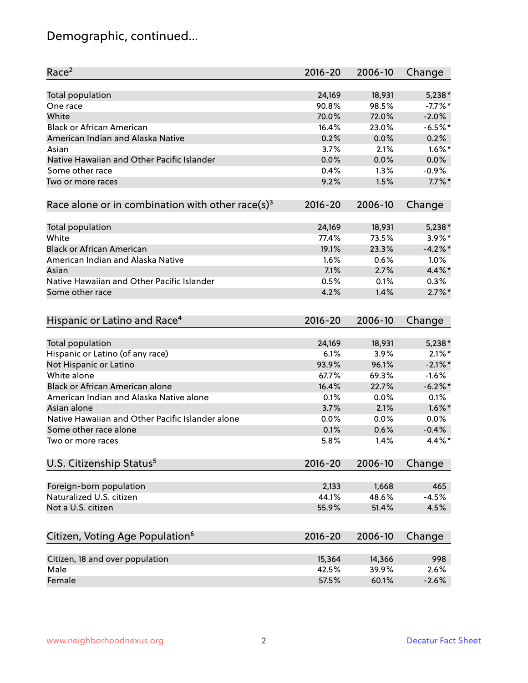# Demographic, continued...

| Race <sup>2</sup>                                            | $2016 - 20$ | 2006-10 | Change     |
|--------------------------------------------------------------|-------------|---------|------------|
| <b>Total population</b>                                      | 24,169      | 18,931  | $5,238*$   |
| One race                                                     | 90.8%       | 98.5%   | $-7.7%$ *  |
| White                                                        | 70.0%       | 72.0%   | $-2.0%$    |
| <b>Black or African American</b>                             | 16.4%       | 23.0%   | $-6.5%$ *  |
| American Indian and Alaska Native                            | 0.2%        | 0.0%    | 0.2%       |
| Asian                                                        | 3.7%        | 2.1%    | $1.6\%$ *  |
| Native Hawaiian and Other Pacific Islander                   | 0.0%        | 0.0%    | 0.0%       |
| Some other race                                              | 0.4%        | 1.3%    | $-0.9%$    |
| Two or more races                                            | 9.2%        | 1.5%    | $7.7\%$ *  |
| Race alone or in combination with other race(s) <sup>3</sup> | $2016 - 20$ | 2006-10 | Change     |
|                                                              |             |         |            |
| <b>Total population</b>                                      | 24,169      | 18,931  | $5,238*$   |
| White                                                        | 77.4%       | 73.5%   | $3.9\%$ *  |
| <b>Black or African American</b>                             | 19.1%       | 23.3%   | $-4.2%$ *  |
| American Indian and Alaska Native                            | 1.6%        | 0.6%    | 1.0%       |
| Asian                                                        | 7.1%        | 2.7%    | 4.4%*      |
| Native Hawaiian and Other Pacific Islander                   | 0.5%        | 0.1%    | 0.3%       |
| Some other race                                              | 4.2%        | 1.4%    | $2.7\%$ *  |
| Hispanic or Latino and Race <sup>4</sup>                     | $2016 - 20$ | 2006-10 | Change     |
| Total population                                             | 24,169      | 18,931  | $5,238*$   |
| Hispanic or Latino (of any race)                             | 6.1%        | 3.9%    | $2.1\%$ *  |
| Not Hispanic or Latino                                       | 93.9%       | 96.1%   | $-2.1\%$ * |
| White alone                                                  | 67.7%       | 69.3%   | $-1.6%$    |
| Black or African American alone                              | 16.4%       | 22.7%   | $-6.2%$    |
| American Indian and Alaska Native alone                      | 0.1%        | 0.0%    | 0.1%       |
| Asian alone                                                  | 3.7%        | 2.1%    | $1.6\%$ *  |
| Native Hawaiian and Other Pacific Islander alone             | 0.0%        | 0.0%    | 0.0%       |
| Some other race alone                                        | 0.1%        | 0.6%    | $-0.4%$    |
| Two or more races                                            | 5.8%        | 1.4%    | $4.4\%$ *  |
|                                                              |             |         |            |
| U.S. Citizenship Status <sup>5</sup>                         | $2016 - 20$ | 2006-10 | Change     |
| Foreign-born population                                      | 2,133       | 1,668   | 465        |
| Naturalized U.S. citizen                                     | 44.1%       | 48.6%   | $-4.5%$    |
| Not a U.S. citizen                                           | 55.9%       | 51.4%   | 4.5%       |
|                                                              |             |         |            |
| Citizen, Voting Age Population <sup>6</sup>                  | $2016 - 20$ | 2006-10 | Change     |
| Citizen, 18 and over population                              | 15,364      | 14,366  | 998        |
| Male                                                         | 42.5%       | 39.9%   | 2.6%       |
| Female                                                       | 57.5%       | 60.1%   | $-2.6%$    |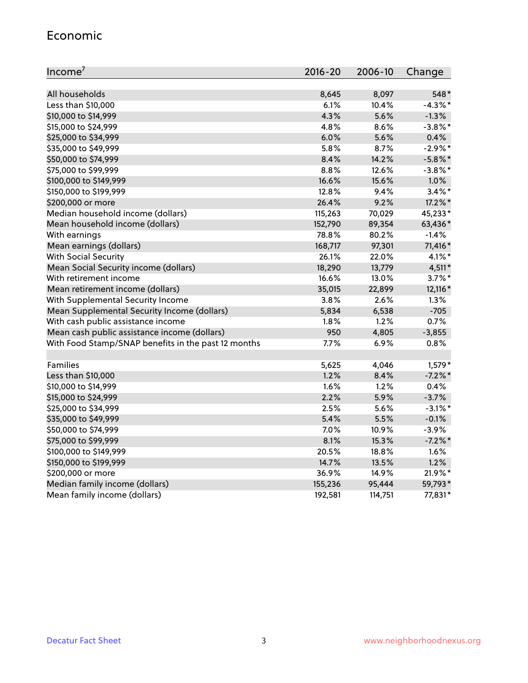#### Economic

| Income <sup>7</sup>                                 | $2016 - 20$ | 2006-10 | Change     |
|-----------------------------------------------------|-------------|---------|------------|
|                                                     |             |         |            |
| All households                                      | 8,645       | 8,097   | 548*       |
| Less than \$10,000                                  | 6.1%        | 10.4%   | $-4.3\%$ * |
| \$10,000 to \$14,999                                | 4.3%        | 5.6%    | $-1.3%$    |
| \$15,000 to \$24,999                                | 4.8%        | 8.6%    | $-3.8\%$ * |
| \$25,000 to \$34,999                                | 6.0%        | 5.6%    | 0.4%       |
| \$35,000 to \$49,999                                | 5.8%        | 8.7%    | $-2.9\%$ * |
| \$50,000 to \$74,999                                | 8.4%        | 14.2%   | $-5.8\%$ * |
| \$75,000 to \$99,999                                | 8.8%        | 12.6%   | $-3.8\%$ * |
| \$100,000 to \$149,999                              | 16.6%       | 15.6%   | 1.0%       |
| \$150,000 to \$199,999                              | 12.8%       | 9.4%    | $3.4\%$ *  |
| \$200,000 or more                                   | 26.4%       | 9.2%    | 17.2%*     |
| Median household income (dollars)                   | 115,263     | 70,029  | 45,233*    |
| Mean household income (dollars)                     | 152,790     | 89,354  | 63,436*    |
| With earnings                                       | 78.8%       | 80.2%   | $-1.4%$    |
| Mean earnings (dollars)                             | 168,717     | 97,301  | 71,416*    |
| <b>With Social Security</b>                         | 26.1%       | 22.0%   | $4.1\%$ *  |
| Mean Social Security income (dollars)               | 18,290      | 13,779  | $4,511*$   |
| With retirement income                              | 16.6%       | 13.0%   | $3.7\%$ *  |
| Mean retirement income (dollars)                    | 35,015      | 22,899  | 12,116 *   |
| With Supplemental Security Income                   | 3.8%        | 2.6%    | 1.3%       |
| Mean Supplemental Security Income (dollars)         | 5,834       | 6,538   | $-705$     |
| With cash public assistance income                  | 1.8%        | 1.2%    | 0.7%       |
| Mean cash public assistance income (dollars)        | 950         | 4,805   | $-3,855$   |
| With Food Stamp/SNAP benefits in the past 12 months | 7.7%        | 6.9%    | 0.8%       |
|                                                     |             |         |            |
| Families                                            | 5,625       | 4,046   | $1,579*$   |
| Less than \$10,000                                  | 1.2%        | 8.4%    | $-7.2\%$ * |
| \$10,000 to \$14,999                                | 1.6%        | 1.2%    | 0.4%       |
| \$15,000 to \$24,999                                | 2.2%        | 5.9%    | $-3.7%$    |
| \$25,000 to \$34,999                                | 2.5%        | 5.6%    | $-3.1\%$ * |
| \$35,000 to \$49,999                                | 5.4%        | 5.5%    | $-0.1%$    |
| \$50,000 to \$74,999                                | 7.0%        | 10.9%   | $-3.9%$    |
| \$75,000 to \$99,999                                | 8.1%        | 15.3%   | $-7.2\%$ * |
| \$100,000 to \$149,999                              | 20.5%       | 18.8%   | 1.6%       |
| \$150,000 to \$199,999                              | 14.7%       | 13.5%   | 1.2%       |
| \$200,000 or more                                   | 36.9%       | 14.9%   | 21.9%*     |
| Median family income (dollars)                      | 155,236     | 95,444  | 59,793*    |
| Mean family income (dollars)                        | 192,581     | 114,751 | 77,831*    |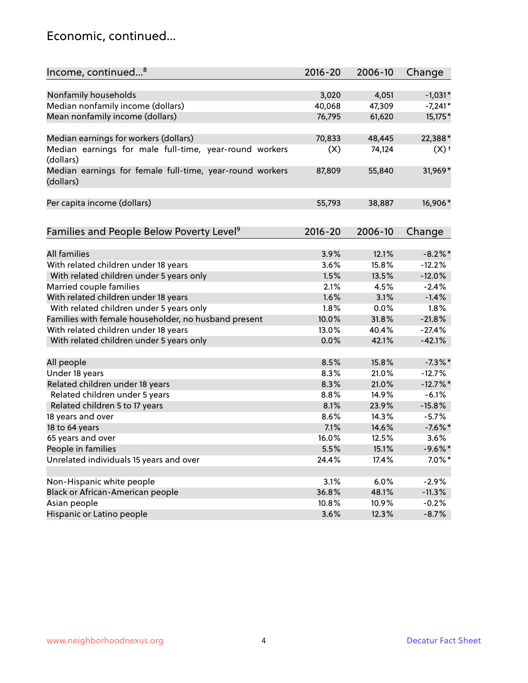#### Economic, continued...

| Income, continued <sup>8</sup>                                        | $2016 - 20$ | 2006-10 | Change     |
|-----------------------------------------------------------------------|-------------|---------|------------|
|                                                                       |             |         |            |
| Nonfamily households                                                  | 3,020       | 4,051   | $-1,031*$  |
| Median nonfamily income (dollars)                                     | 40,068      | 47,309  | $-7,241*$  |
| Mean nonfamily income (dollars)                                       | 76,795      | 61,620  | 15,175*    |
| Median earnings for workers (dollars)                                 | 70,833      | 48,445  | 22,388*    |
| Median earnings for male full-time, year-round workers<br>(dollars)   | (X)         | 74,124  | $(X)$ +    |
| Median earnings for female full-time, year-round workers<br>(dollars) | 87,809      | 55,840  | 31,969*    |
| Per capita income (dollars)                                           | 55,793      | 38,887  | 16,906*    |
| Families and People Below Poverty Level <sup>9</sup>                  | $2016 - 20$ | 2006-10 | Change     |
|                                                                       |             |         |            |
| <b>All families</b>                                                   | 3.9%        | 12.1%   | $-8.2\%$ * |
| With related children under 18 years                                  | 3.6%        | 15.8%   | $-12.2%$   |
| With related children under 5 years only                              | 1.5%        | 13.5%   | $-12.0%$   |
| Married couple families                                               | 2.1%        | 4.5%    | $-2.4%$    |
| With related children under 18 years                                  | 1.6%        | 3.1%    | $-1.4%$    |
| With related children under 5 years only                              | 1.8%        | 0.0%    | 1.8%       |
| Families with female householder, no husband present                  | 10.0%       | 31.8%   | $-21.8%$   |
| With related children under 18 years                                  | 13.0%       | 40.4%   | $-27.4%$   |
| With related children under 5 years only                              | 0.0%        | 42.1%   | $-42.1%$   |
| All people                                                            | 8.5%        | 15.8%   | $-7.3\%$ * |
| Under 18 years                                                        | 8.3%        | 21.0%   | $-12.7%$   |
| Related children under 18 years                                       | 8.3%        | 21.0%   | $-12.7%$   |
| Related children under 5 years                                        | 8.8%        | 14.9%   | $-6.1%$    |
| Related children 5 to 17 years                                        | 8.1%        | 23.9%   | $-15.8%$   |
| 18 years and over                                                     | 8.6%        | 14.3%   | $-5.7%$    |
| 18 to 64 years                                                        | 7.1%        | 14.6%   | $-7.6\%$ * |
| 65 years and over                                                     | 16.0%       | 12.5%   | 3.6%       |
| People in families                                                    | 5.5%        | 15.1%   | $-9.6%$ *  |
| Unrelated individuals 15 years and over                               | 24.4%       | 17.4%   | $7.0\%$ *  |
|                                                                       |             |         |            |
| Non-Hispanic white people                                             | 3.1%        | 6.0%    | $-2.9%$    |
| Black or African-American people                                      | 36.8%       | 48.1%   | $-11.3%$   |
| Asian people                                                          | 10.8%       | 10.9%   | $-0.2%$    |
| Hispanic or Latino people                                             | 3.6%        | 12.3%   | $-8.7%$    |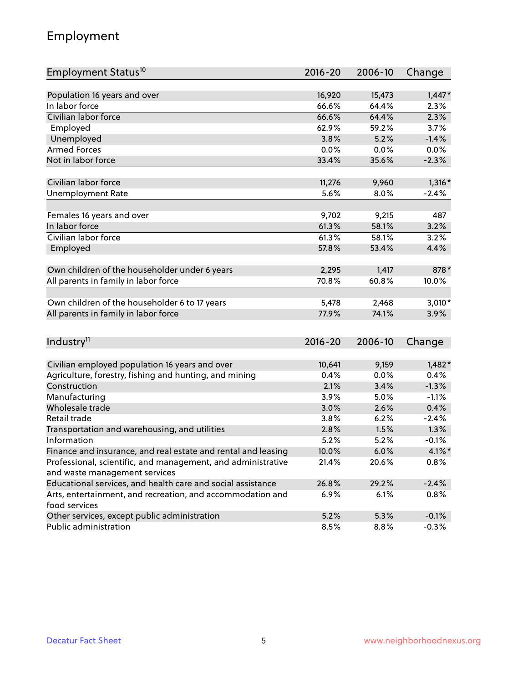## Employment

| Employment Status <sup>10</sup>                                                               | $2016 - 20$   | 2006-10      | Change               |
|-----------------------------------------------------------------------------------------------|---------------|--------------|----------------------|
|                                                                                               |               |              |                      |
| Population 16 years and over                                                                  | 16,920        | 15,473       | $1,447*$             |
| In labor force                                                                                | 66.6%         | 64.4%        | 2.3%                 |
| Civilian labor force                                                                          | 66.6%         | 64.4%        | 2.3%                 |
| Employed                                                                                      | 62.9%         | 59.2%        | 3.7%                 |
| Unemployed                                                                                    | 3.8%          | 5.2%         | $-1.4%$              |
| <b>Armed Forces</b>                                                                           | 0.0%          | $0.0\%$      | 0.0%                 |
| Not in labor force                                                                            | 33.4%         | 35.6%        | $-2.3%$              |
|                                                                                               |               |              |                      |
| Civilian labor force                                                                          | 11,276        | 9,960        | $1,316*$             |
| Unemployment Rate                                                                             | 5.6%          | 8.0%         | $-2.4%$              |
| Females 16 years and over                                                                     | 9,702         | 9,215        | 487                  |
| In labor force                                                                                | 61.3%         | 58.1%        | 3.2%                 |
| Civilian labor force                                                                          | 61.3%         | 58.1%        | 3.2%                 |
| Employed                                                                                      | 57.8%         | 53.4%        | 4.4%                 |
|                                                                                               |               |              |                      |
| Own children of the householder under 6 years                                                 | 2,295         | 1,417        | 878*                 |
| All parents in family in labor force                                                          | 70.8%         | 60.8%        | 10.0%                |
|                                                                                               |               |              |                      |
| Own children of the householder 6 to 17 years                                                 | 5,478         | 2,468        | $3,010*$             |
| All parents in family in labor force                                                          | 77.9%         | 74.1%        | 3.9%                 |
|                                                                                               |               |              |                      |
| Industry <sup>11</sup>                                                                        | 2016-20       | 2006-10      | Change               |
|                                                                                               |               |              |                      |
| Civilian employed population 16 years and over                                                | 10,641        | 9,159        | $1,482*$             |
| Agriculture, forestry, fishing and hunting, and mining                                        | 0.4%          | 0.0%         | 0.4%                 |
| Construction                                                                                  | 2.1%          | 3.4%         | $-1.3%$              |
| Manufacturing<br>Wholesale trade                                                              | 3.9%          | 5.0%         | $-1.1%$              |
| Retail trade                                                                                  | 3.0%          | 2.6%         | 0.4%                 |
|                                                                                               | 3.8%<br>2.8%  | 6.2%<br>1.5% | $-2.4%$<br>1.3%      |
| Transportation and warehousing, and utilities<br>Information                                  |               |              |                      |
|                                                                                               | 5.2%<br>10.0% | 5.2%<br>6.0% | $-0.1%$<br>$4.1\%$ * |
| Finance and insurance, and real estate and rental and leasing                                 |               |              |                      |
| Professional, scientific, and management, and administrative<br>and waste management services | 21.4%         | 20.6%        | 0.8%                 |
| Educational services, and health care and social assistance                                   | 26.8%         | 29.2%        | $-2.4%$              |
| Arts, entertainment, and recreation, and accommodation and                                    | 6.9%          | 6.1%         | 0.8%                 |
| food services                                                                                 |               |              |                      |
| Other services, except public administration                                                  | 5.2%          | 5.3%         | $-0.1%$              |
| Public administration                                                                         | 8.5%          | 8.8%         | $-0.3%$              |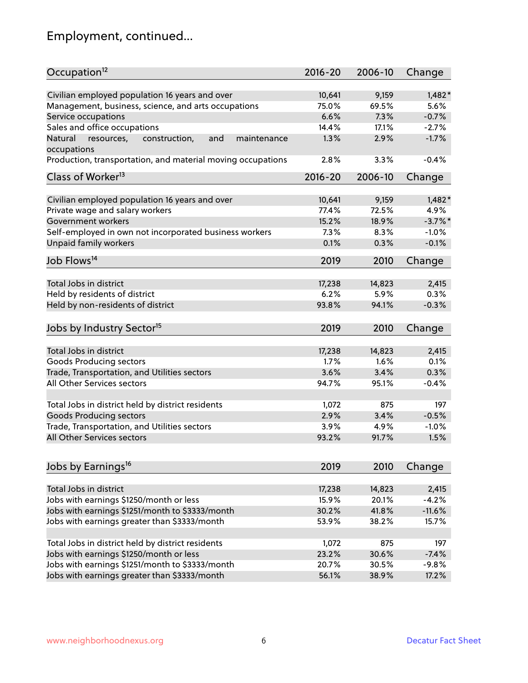# Employment, continued...

| Occupation <sup>12</sup>                                    | $2016 - 20$ | 2006-10 | Change     |
|-------------------------------------------------------------|-------------|---------|------------|
| Civilian employed population 16 years and over              | 10,641      | 9,159   | $1,482*$   |
| Management, business, science, and arts occupations         | 75.0%       | 69.5%   | 5.6%       |
| Service occupations                                         | 6.6%        | 7.3%    | $-0.7%$    |
| Sales and office occupations                                | 14.4%       | 17.1%   | $-2.7%$    |
| Natural<br>and<br>maintenance                               | 1.3%        | 2.9%    | $-1.7%$    |
| resources,<br>construction,<br>occupations                  |             |         |            |
| Production, transportation, and material moving occupations | 2.8%        | 3.3%    | $-0.4%$    |
| Class of Worker <sup>13</sup>                               | $2016 - 20$ | 2006-10 | Change     |
| Civilian employed population 16 years and over              | 10,641      | 9,159   | $1,482*$   |
| Private wage and salary workers                             | 77.4%       | 72.5%   | 4.9%       |
| Government workers                                          | 15.2%       | 18.9%   | $-3.7\%$ * |
| Self-employed in own not incorporated business workers      | 7.3%        | 8.3%    | $-1.0%$    |
| Unpaid family workers                                       | 0.1%        | 0.3%    | $-0.1%$    |
| Job Flows <sup>14</sup>                                     | 2019        | 2010    | Change     |
|                                                             |             |         |            |
| Total Jobs in district                                      | 17,238      | 14,823  | 2,415      |
| Held by residents of district                               | 6.2%        | 5.9%    | 0.3%       |
| Held by non-residents of district                           | 93.8%       | 94.1%   | $-0.3%$    |
| Jobs by Industry Sector <sup>15</sup>                       | 2019        | 2010    | Change     |
| Total Jobs in district                                      | 17,238      | 14,823  | 2,415      |
| Goods Producing sectors                                     | 1.7%        | 1.6%    | 0.1%       |
| Trade, Transportation, and Utilities sectors                | 3.6%        | 3.4%    | 0.3%       |
| <b>All Other Services sectors</b>                           | 94.7%       | 95.1%   | $-0.4%$    |
|                                                             |             |         |            |
| Total Jobs in district held by district residents           | 1,072       | 875     | 197        |
| <b>Goods Producing sectors</b>                              | 2.9%        | 3.4%    | $-0.5%$    |
| Trade, Transportation, and Utilities sectors                | 3.9%        | 4.9%    | $-1.0%$    |
| All Other Services sectors                                  | 93.2%       | 91.7%   | 1.5%       |
|                                                             |             |         |            |
| Jobs by Earnings <sup>16</sup>                              | 2019        | 2010    | Change     |
| Total Jobs in district                                      | 17,238      | 14,823  | 2,415      |
| Jobs with earnings \$1250/month or less                     | 15.9%       | 20.1%   | $-4.2%$    |
| Jobs with earnings \$1251/month to \$3333/month             | 30.2%       | 41.8%   | $-11.6%$   |
| Jobs with earnings greater than \$3333/month                | 53.9%       | 38.2%   | 15.7%      |
|                                                             |             |         |            |
| Total Jobs in district held by district residents           | 1,072       | 875     | 197        |
| Jobs with earnings \$1250/month or less                     | 23.2%       | 30.6%   | $-7.4%$    |
| Jobs with earnings \$1251/month to \$3333/month             | 20.7%       | 30.5%   | $-9.8%$    |
| Jobs with earnings greater than \$3333/month                | 56.1%       | 38.9%   | 17.2%      |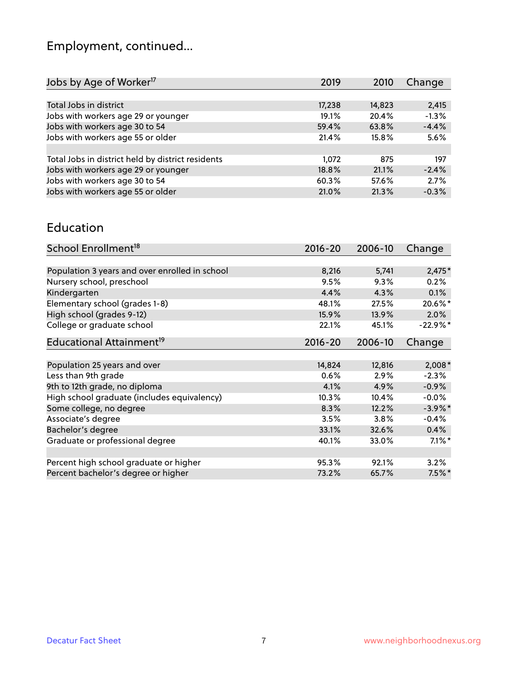# Employment, continued...

| 2019   | 2010   | Change  |
|--------|--------|---------|
|        |        |         |
| 17,238 | 14,823 | 2,415   |
| 19.1%  | 20.4%  | $-1.3%$ |
| 59.4%  | 63.8%  | $-4.4%$ |
| 21.4%  | 15.8%  | 5.6%    |
|        |        |         |
| 1.072  | 875    | 197     |
| 18.8%  | 21.1%  | $-2.4%$ |
| 60.3%  | 57.6%  | 2.7%    |
| 21.0%  | 21.3%  | $-0.3%$ |
|        |        |         |

#### Education

| School Enrollment <sup>18</sup>                | $2016 - 20$ | 2006-10 | Change     |
|------------------------------------------------|-------------|---------|------------|
|                                                |             |         |            |
| Population 3 years and over enrolled in school | 8,216       | 5,741   | $2,475*$   |
| Nursery school, preschool                      | 9.5%        | 9.3%    | 0.2%       |
| Kindergarten                                   | 4.4%        | 4.3%    | 0.1%       |
| Elementary school (grades 1-8)                 | 48.1%       | 27.5%   | 20.6%*     |
| High school (grades 9-12)                      | 15.9%       | 13.9%   | 2.0%       |
| College or graduate school                     | 22.1%       | 45.1%   | $-22.9%$ * |
| Educational Attainment <sup>19</sup>           | $2016 - 20$ | 2006-10 | Change     |
| Population 25 years and over                   | 14,824      | 12,816  | $2,008*$   |
| Less than 9th grade                            | 0.6%        | 2.9%    | $-2.3%$    |
| 9th to 12th grade, no diploma                  | 4.1%        | 4.9%    | $-0.9%$    |
| High school graduate (includes equivalency)    | 10.3%       | 10.4%   | $-0.0%$    |
| Some college, no degree                        | 8.3%        | 12.2%   | $-3.9\%$ * |
| Associate's degree                             | 3.5%        | 3.8%    | $-0.4%$    |
| Bachelor's degree                              | 33.1%       | 32.6%   | 0.4%       |
| Graduate or professional degree                | 40.1%       | 33.0%   | $7.1\%$ *  |
|                                                |             |         |            |
| Percent high school graduate or higher         | 95.3%       | 92.1%   | 3.2%       |
| Percent bachelor's degree or higher            | 73.2%       | 65.7%   | $7.5\%$ *  |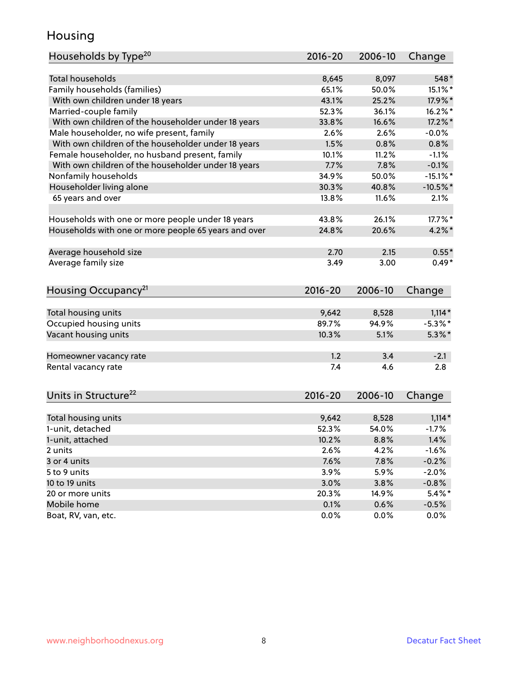## Housing

| Households by Type <sup>20</sup>                     | 2016-20        | 2006-10        | Change                 |
|------------------------------------------------------|----------------|----------------|------------------------|
|                                                      |                |                |                        |
| <b>Total households</b>                              | 8,645          | 8,097          | 548*                   |
| Family households (families)                         | 65.1%          | 50.0%          | 15.1%*                 |
| With own children under 18 years                     | 43.1%          | 25.2%          | 17.9%*                 |
| Married-couple family                                | 52.3%          | 36.1%          | $16.2\%$ *             |
| With own children of the householder under 18 years  | 33.8%          | 16.6%          | 17.2%*                 |
| Male householder, no wife present, family            | 2.6%           | 2.6%           | $-0.0%$                |
| With own children of the householder under 18 years  | 1.5%           | 0.8%           | 0.8%                   |
| Female householder, no husband present, family       | 10.1%          | 11.2%          | $-1.1%$                |
| With own children of the householder under 18 years  | 7.7%           | 7.8%           | $-0.1%$                |
| Nonfamily households                                 | 34.9%          | 50.0%          | $-15.1\%$ *            |
| Householder living alone                             | 30.3%          | 40.8%          | $-10.5%$ *             |
| 65 years and over                                    | 13.8%          | 11.6%          | 2.1%                   |
|                                                      |                |                |                        |
| Households with one or more people under 18 years    | 43.8%          | 26.1%          | 17.7%*                 |
| Households with one or more people 65 years and over | 24.8%          | 20.6%          | $4.2\%$ *              |
| Average household size                               | 2.70           | 2.15           | $0.55*$                |
| Average family size                                  | 3.49           | 3.00           | $0.49*$                |
|                                                      |                |                |                        |
| Housing Occupancy <sup>21</sup>                      | $2016 - 20$    | 2006-10        | Change                 |
|                                                      |                |                |                        |
| Total housing units                                  | 9,642<br>89.7% | 8,528<br>94.9% | $1,114*$<br>$-5.3\%$ * |
| Occupied housing units                               |                |                |                        |
| Vacant housing units                                 | 10.3%          | 5.1%           | $5.3\%$ *              |
| Homeowner vacancy rate                               | 1.2            | 3.4            | $-2.1$                 |
| Rental vacancy rate                                  | 7.4            | 4.6            | 2.8                    |
|                                                      |                |                |                        |
| Units in Structure <sup>22</sup>                     | $2016 - 20$    | 2006-10        | Change                 |
| Total housing units                                  | 9,642          | 8,528          | $1,114*$               |
| 1-unit, detached                                     | 52.3%          | 54.0%          | $-1.7%$                |
|                                                      | 10.2%          |                |                        |
| 1-unit, attached                                     |                | 8.8%<br>4.2%   | 1.4%<br>$-1.6%$        |
| 2 units                                              | 2.6%           |                |                        |
| 3 or 4 units<br>5 to 9 units                         | 7.6%           | 7.8%           | $-0.2%$                |
|                                                      | 3.9%           | 5.9%           | $-2.0%$                |
| 10 to 19 units                                       | 3.0%           | 3.8%           | $-0.8%$                |
| 20 or more units                                     | 20.3%          | 14.9%          | $5.4\%$ *              |
| Mobile home                                          | 0.1%           | 0.6%           | $-0.5%$                |
| Boat, RV, van, etc.                                  | 0.0%           | 0.0%           | 0.0%                   |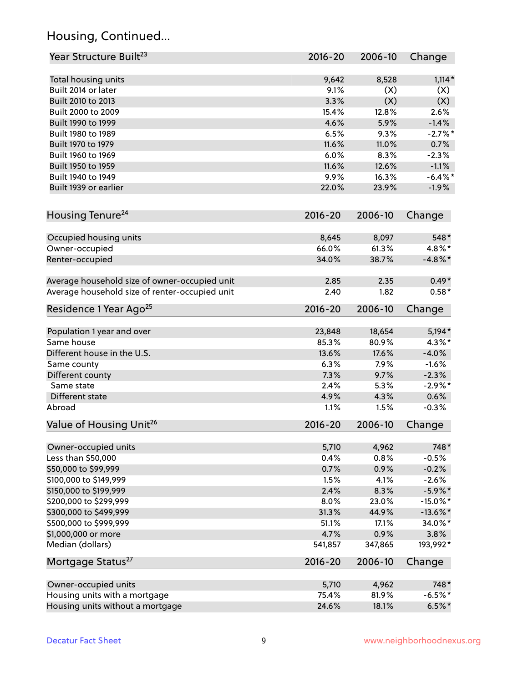## Housing, Continued...

| Year Structure Built <sup>23</sup>             | 2016-20     | 2006-10 | Change      |
|------------------------------------------------|-------------|---------|-------------|
| Total housing units                            | 9,642       | 8,528   | $1,114*$    |
| Built 2014 or later                            | 9.1%        | (X)     | (X)         |
| Built 2010 to 2013                             | 3.3%        | (X)     | (X)         |
| Built 2000 to 2009                             | 15.4%       | 12.8%   | 2.6%        |
| Built 1990 to 1999                             | 4.6%        | 5.9%    | $-1.4%$     |
| Built 1980 to 1989                             | 6.5%        | 9.3%    | $-2.7\%$ *  |
| Built 1970 to 1979                             | 11.6%       | 11.0%   | 0.7%        |
| Built 1960 to 1969                             | 6.0%        | 8.3%    | $-2.3%$     |
| Built 1950 to 1959                             | 11.6%       | 12.6%   | $-1.1%$     |
| Built 1940 to 1949                             | 9.9%        | 16.3%   | $-6.4\%$ *  |
| Built 1939 or earlier                          | 22.0%       | 23.9%   | $-1.9%$     |
|                                                |             |         |             |
| Housing Tenure <sup>24</sup>                   | $2016 - 20$ | 2006-10 | Change      |
| Occupied housing units                         | 8,645       | 8,097   | 548*        |
| Owner-occupied                                 | 66.0%       | 61.3%   | 4.8%*       |
| Renter-occupied                                | 34.0%       | 38.7%   | $-4.8\%$ *  |
| Average household size of owner-occupied unit  | 2.85        | 2.35    | $0.49*$     |
| Average household size of renter-occupied unit | 2.40        | 1.82    | $0.58*$     |
| Residence 1 Year Ago <sup>25</sup>             | $2016 - 20$ | 2006-10 | Change      |
|                                                |             |         |             |
| Population 1 year and over                     | 23,848      | 18,654  | $5,194*$    |
| Same house                                     | 85.3%       | 80.9%   | $4.3\%$ *   |
| Different house in the U.S.                    | 13.6%       | 17.6%   | $-4.0%$     |
| Same county                                    | 6.3%        | 7.9%    | $-1.6%$     |
| Different county                               | 7.3%        | 9.7%    | $-2.3%$     |
| Same state                                     | 2.4%        | 5.3%    | $-2.9\%$ *  |
| Different state                                | 4.9%        | 4.3%    | 0.6%        |
| Abroad                                         | 1.1%        | 1.5%    | $-0.3%$     |
| Value of Housing Unit <sup>26</sup>            | $2016 - 20$ | 2006-10 | Change      |
| Owner-occupied units                           | 5,710       | 4,962   | 748*        |
| Less than \$50,000                             | 0.4%        | 0.8%    | $-0.5%$     |
| \$50,000 to \$99,999                           | 0.7%        | 0.9%    | $-0.2%$     |
| \$100,000 to \$149,999                         | 1.5%        | 4.1%    | $-2.6%$     |
| \$150,000 to \$199,999                         | 2.4%        | 8.3%    | $-5.9\%$ *  |
| \$200,000 to \$299,999                         | 8.0%        | 23.0%   | $-15.0\%$ * |
| \$300,000 to \$499,999                         | 31.3%       | 44.9%   | $-13.6\%$ * |
| \$500,000 to \$999,999                         | 51.1%       | 17.1%   | 34.0%*      |
| \$1,000,000 or more                            | 4.7%        | 0.9%    | 3.8%        |
| Median (dollars)                               | 541,857     | 347,865 | 193,992*    |
| Mortgage Status <sup>27</sup>                  | 2016-20     | 2006-10 | Change      |
| Owner-occupied units                           | 5,710       | 4,962   | 748*        |
| Housing units with a mortgage                  | 75.4%       | 81.9%   | $-6.5%$ *   |
| Housing units without a mortgage               | 24.6%       | 18.1%   | $6.5%$ *    |
|                                                |             |         |             |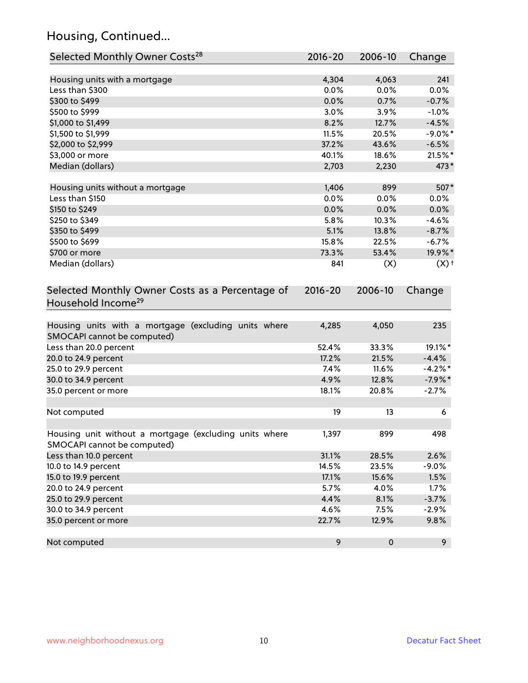## Housing, Continued...

| Selected Monthly Owner Costs <sup>28</sup>                                            | 2016-20 | 2006-10   | Change             |
|---------------------------------------------------------------------------------------|---------|-----------|--------------------|
| Housing units with a mortgage                                                         | 4,304   | 4,063     | 241                |
| Less than \$300                                                                       | 0.0%    | 0.0%      | 0.0%               |
| \$300 to \$499                                                                        | 0.0%    | 0.7%      | $-0.7%$            |
| \$500 to \$999                                                                        | 3.0%    | 3.9%      | $-1.0%$            |
| \$1,000 to \$1,499                                                                    | 8.2%    | 12.7%     | $-4.5%$            |
| \$1,500 to \$1,999                                                                    | 11.5%   | 20.5%     | $-9.0\%$ *         |
| \$2,000 to \$2,999                                                                    | 37.2%   | 43.6%     | $-6.5%$            |
| \$3,000 or more                                                                       | 40.1%   | 18.6%     | 21.5%*             |
| Median (dollars)                                                                      | 2,703   | 2,230     | 473*               |
| Housing units without a mortgage                                                      | 1,406   | 899       | 507*               |
| Less than \$150                                                                       | 0.0%    | 0.0%      | 0.0%               |
| \$150 to \$249                                                                        | 0.0%    | 0.0%      | 0.0%               |
| \$250 to \$349                                                                        | 5.8%    | 10.3%     | $-4.6%$            |
| \$350 to \$499                                                                        | 5.1%    | 13.8%     | $-8.7%$            |
| \$500 to \$699                                                                        | 15.8%   | 22.5%     | $-6.7%$            |
| \$700 or more                                                                         | 73.3%   | 53.4%     | 19.9%*             |
| Median (dollars)                                                                      | 841     | (X)       | $(X)$ <sup>+</sup> |
| Household Income <sup>29</sup>                                                        |         |           |                    |
| Housing units with a mortgage (excluding units where<br>SMOCAPI cannot be computed)   | 4,285   | 4,050     | 235                |
| Less than 20.0 percent                                                                | 52.4%   | 33.3%     | 19.1%*             |
| 20.0 to 24.9 percent                                                                  | 17.2%   | 21.5%     | $-4.4%$            |
| 25.0 to 29.9 percent                                                                  | 7.4%    | 11.6%     | $-4.2%$ *          |
| 30.0 to 34.9 percent                                                                  | 4.9%    | 12.8%     | $-7.9\%$ *         |
| 35.0 percent or more                                                                  | 18.1%   | 20.8%     | $-2.7%$            |
| Not computed                                                                          | 19      | 13        | 6                  |
| Housing unit without a mortgage (excluding units where<br>SMOCAPI cannot be computed) | 1,397   | 899       | 498                |
| Less than 10.0 percent                                                                | 31.1%   | 28.5%     | 2.6%               |
| 10.0 to 14.9 percent                                                                  | 14.5%   | 23.5%     | $-9.0%$            |
| 15.0 to 19.9 percent                                                                  | 17.1%   | 15.6%     | 1.5%               |
| 20.0 to 24.9 percent                                                                  | 5.7%    | 4.0%      | 1.7%               |
| 25.0 to 29.9 percent                                                                  | 4.4%    | 8.1%      | $-3.7%$            |
| 30.0 to 34.9 percent                                                                  | 4.6%    | 7.5%      | $-2.9%$            |
| 35.0 percent or more                                                                  | 22.7%   | 12.9%     | 9.8%               |
| Not computed                                                                          | 9       | $\pmb{0}$ | 9                  |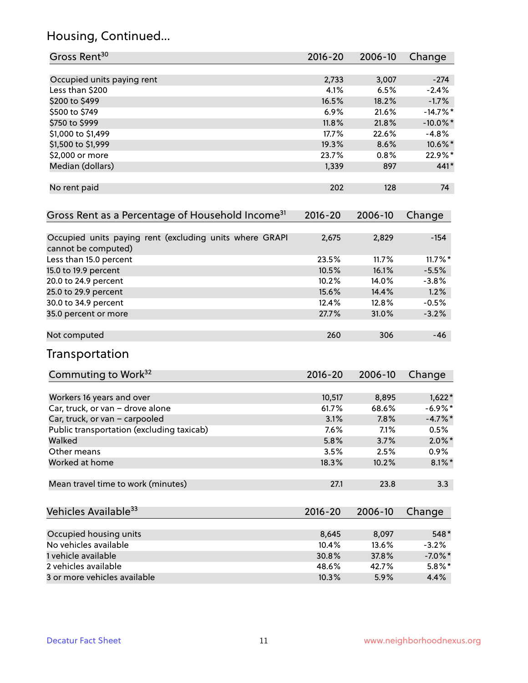## Housing, Continued...

| Gross Rent <sup>30</sup>                                                       | 2016-20     | 2006-10 | Change      |
|--------------------------------------------------------------------------------|-------------|---------|-------------|
| Occupied units paying rent                                                     | 2,733       | 3,007   | $-274$      |
| Less than \$200                                                                | 4.1%        | 6.5%    | $-2.4%$     |
| \$200 to \$499                                                                 | 16.5%       | 18.2%   | $-1.7%$     |
| \$500 to \$749                                                                 | 6.9%        | 21.6%   | $-14.7%$ *  |
| \$750 to \$999                                                                 | 11.8%       | 21.8%   | $-10.0\%$ * |
| \$1,000 to \$1,499                                                             | 17.7%       | 22.6%   | $-4.8%$     |
| \$1,500 to \$1,999                                                             | 19.3%       | 8.6%    | 10.6%*      |
| \$2,000 or more                                                                | 23.7%       | 0.8%    | 22.9%*      |
| Median (dollars)                                                               | 1,339       | 897     | 441*        |
| No rent paid                                                                   | 202         | 128     | 74          |
| Gross Rent as a Percentage of Household Income <sup>31</sup>                   | $2016 - 20$ | 2006-10 | Change      |
| Occupied units paying rent (excluding units where GRAPI<br>cannot be computed) | 2,675       | 2,829   | $-154$      |
| Less than 15.0 percent                                                         | 23.5%       | 11.7%   | $11.7\%$ *  |
| 15.0 to 19.9 percent                                                           | 10.5%       | 16.1%   | $-5.5%$     |
| 20.0 to 24.9 percent                                                           | 10.2%       | 14.0%   | $-3.8%$     |
| 25.0 to 29.9 percent                                                           | 15.6%       | 14.4%   | 1.2%        |
| 30.0 to 34.9 percent                                                           | 12.4%       | 12.8%   | $-0.5%$     |
| 35.0 percent or more                                                           | 27.7%       | 31.0%   | $-3.2%$     |
| Not computed                                                                   | 260         | 306     | $-46$       |
| Transportation                                                                 |             |         |             |
| Commuting to Work <sup>32</sup>                                                | 2016-20     | 2006-10 | Change      |
| Workers 16 years and over                                                      | 10,517      | 8,895   | $1,622*$    |
| Car, truck, or van - drove alone                                               | 61.7%       | 68.6%   | $-6.9\%$ *  |
| Car, truck, or van - carpooled                                                 | 3.1%        | 7.8%    | $-4.7%$ *   |
| Public transportation (excluding taxicab)                                      | 7.6%        | 7.1%    | 0.5%        |
| Walked                                                                         | 5.8%        | 3.7%    | $2.0\%$ *   |
| Other means                                                                    | 3.5%        | 2.5%    | 0.9%        |
| Worked at home                                                                 | 18.3%       | 10.2%   | $8.1\%$ *   |
| Mean travel time to work (minutes)                                             | 27.1        | 23.8    | 3.3         |
| Vehicles Available <sup>33</sup>                                               | 2016-20     | 2006-10 | Change      |
| Occupied housing units                                                         | 8,645       | 8,097   | 548*        |
| No vehicles available                                                          | 10.4%       | 13.6%   | $-3.2%$     |
| 1 vehicle available                                                            | 30.8%       | 37.8%   | $-7.0\%$ *  |
| 2 vehicles available                                                           | 48.6%       | 42.7%   | $5.8\%$ *   |
| 3 or more vehicles available                                                   | 10.3%       | 5.9%    | 4.4%        |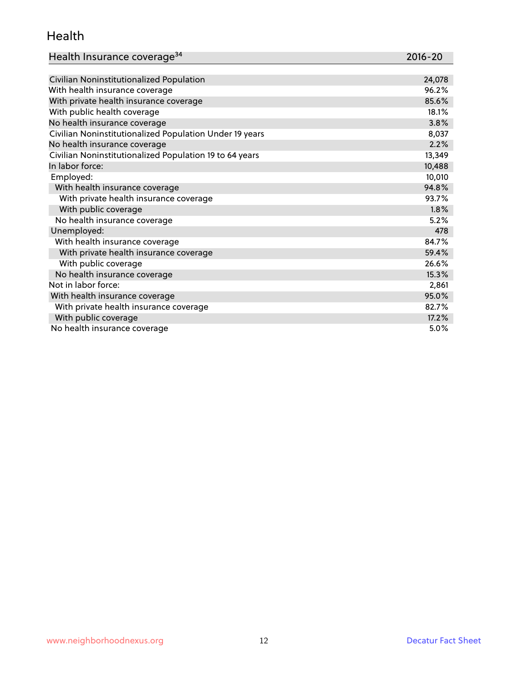#### Health

| Health Insurance coverage <sup>34</sup> | 2016-20 |
|-----------------------------------------|---------|
|                                         |         |

| Civilian Noninstitutionalized Population                | 24,078 |
|---------------------------------------------------------|--------|
| With health insurance coverage                          | 96.2%  |
| With private health insurance coverage                  | 85.6%  |
| With public health coverage                             | 18.1%  |
| No health insurance coverage                            | 3.8%   |
| Civilian Noninstitutionalized Population Under 19 years | 8,037  |
| No health insurance coverage                            | 2.2%   |
| Civilian Noninstitutionalized Population 19 to 64 years | 13,349 |
| In labor force:                                         | 10,488 |
| Employed:                                               | 10,010 |
| With health insurance coverage                          | 94.8%  |
| With private health insurance coverage                  | 93.7%  |
| With public coverage                                    | 1.8%   |
| No health insurance coverage                            | 5.2%   |
| Unemployed:                                             | 478    |
| With health insurance coverage                          | 84.7%  |
| With private health insurance coverage                  | 59.4%  |
| With public coverage                                    | 26.6%  |
| No health insurance coverage                            | 15.3%  |
| Not in labor force:                                     | 2,861  |
| With health insurance coverage                          | 95.0%  |
| With private health insurance coverage                  | 82.7%  |
| With public coverage                                    | 17.2%  |
| No health insurance coverage                            | 5.0%   |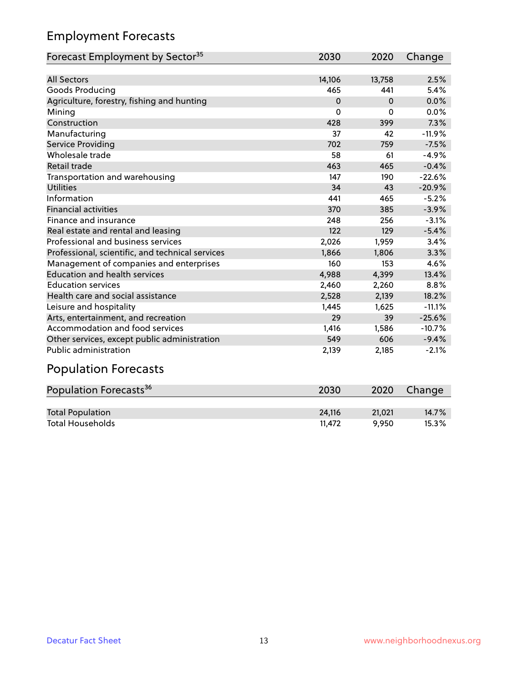## Employment Forecasts

| Forecast Employment by Sector <sup>35</sup>      | 2030     | 2020     | Change   |
|--------------------------------------------------|----------|----------|----------|
|                                                  |          |          |          |
| <b>All Sectors</b>                               | 14,106   | 13,758   | 2.5%     |
| Goods Producing                                  | 465      | 441      | 5.4%     |
| Agriculture, forestry, fishing and hunting       | $\Omega$ | $\Omega$ | 0.0%     |
| Mining                                           | 0        | 0        | 0.0%     |
| Construction                                     | 428      | 399      | 7.3%     |
| Manufacturing                                    | 37       | 42       | $-11.9%$ |
| Service Providing                                | 702      | 759      | $-7.5%$  |
| Wholesale trade                                  | 58       | 61       | $-4.9%$  |
| Retail trade                                     | 463      | 465      | $-0.4%$  |
| Transportation and warehousing                   | 147      | 190      | $-22.6%$ |
| <b>Utilities</b>                                 | 34       | 43       | $-20.9%$ |
| Information                                      | 441      | 465      | $-5.2%$  |
| <b>Financial activities</b>                      | 370      | 385      | $-3.9%$  |
| Finance and insurance                            | 248      | 256      | $-3.1%$  |
| Real estate and rental and leasing               | 122      | 129      | $-5.4%$  |
| Professional and business services               | 2,026    | 1,959    | 3.4%     |
| Professional, scientific, and technical services | 1.866    | 1.806    | 3.3%     |
| Management of companies and enterprises          | 160      | 153      | 4.6%     |
| <b>Education and health services</b>             | 4,988    | 4,399    | 13.4%    |
| <b>Education services</b>                        | 2,460    | 2,260    | 8.8%     |
| Health care and social assistance                | 2,528    | 2,139    | 18.2%    |
| Leisure and hospitality                          | 1,445    | 1,625    | $-11.1%$ |
| Arts, entertainment, and recreation              | 29       | 39       | $-25.6%$ |
| Accommodation and food services                  | 1,416    | 1.586    | $-10.7%$ |
| Other services, except public administration     | 549      | 606      | $-9.4%$  |
| <b>Public administration</b>                     | 2,139    | 2,185    | $-2.1%$  |

# Population Forecasts

| Population Forecasts <sup>36</sup> | 2030   | 2020   | Change   |
|------------------------------------|--------|--------|----------|
|                                    |        |        |          |
| <b>Total Population</b>            | 24.116 | 21.021 | $14.7\%$ |
| <b>Total Households</b>            | 11.472 | 9.950  | $15.3\%$ |